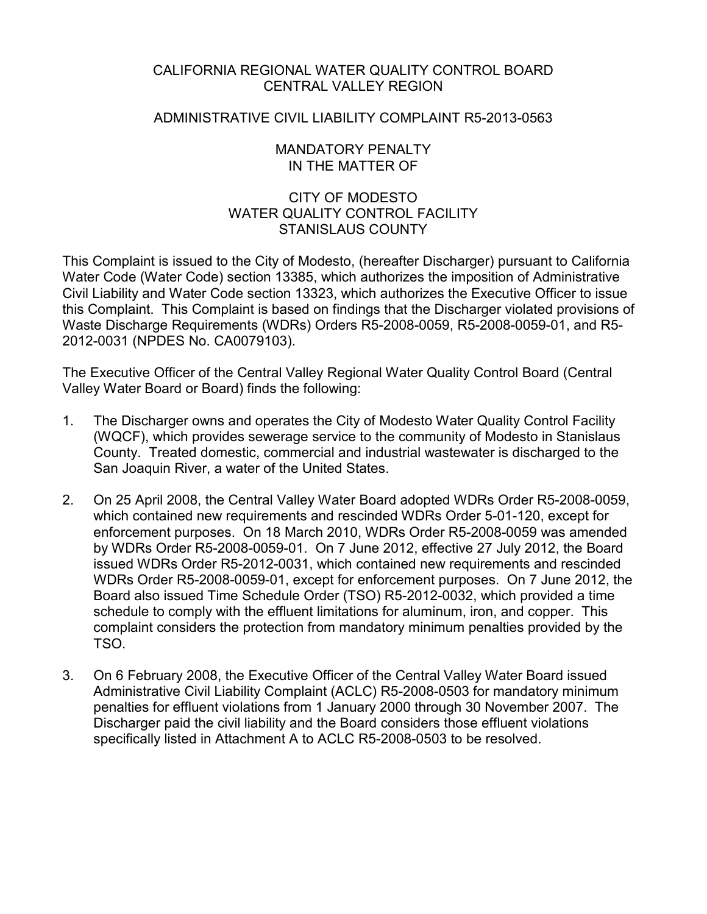# CALIFORNIA REGIONAL WATER QUALITY CONTROL BOARD CENTRAL VALLEY REGION

# ADMINISTRATIVE CIVIL LIABILITY COMPLAINT R5-2013-0563

## MANDATORY PENALTY IN THE MATTER OF

# CITY OF MODESTO WATER QUALITY CONTROL FACILITY STANISLAUS COUNTY

This Complaint is issued to the City of Modesto, (hereafter Discharger) pursuant to California Water Code (Water Code) section 13385, which authorizes the imposition of Administrative Civil Liability and Water Code section 13323, which authorizes the Executive Officer to issue this Complaint. This Complaint is based on findings that the Discharger violated provisions of Waste Discharge Requirements (WDRs) Orders R5-2008-0059, R5-2008-0059-01, and R5- 2012-0031 (NPDES No. CA0079103).

The Executive Officer of the Central Valley Regional Water Quality Control Board (Central Valley Water Board or Board) finds the following:

- 1. The Discharger owns and operates the City of Modesto Water Quality Control Facility (WQCF), which provides sewerage service to the community of Modesto in Stanislaus County. Treated domestic, commercial and industrial wastewater is discharged to the San Joaquin River, a water of the United States.
- 2. On 25 April 2008, the Central Valley Water Board adopted WDRs Order R5-2008-0059, which contained new requirements and rescinded WDRs Order 5-01-120, except for enforcement purposes. On 18 March 2010, WDRs Order R5-2008-0059 was amended by WDRs Order R5-2008-0059-01. On 7 June 2012, effective 27 July 2012, the Board issued WDRs Order R5-2012-0031, which contained new requirements and rescinded WDRs Order R5-2008-0059-01, except for enforcement purposes. On 7 June 2012, the Board also issued Time Schedule Order (TSO) R5-2012-0032, which provided a time schedule to comply with the effluent limitations for aluminum, iron, and copper. This complaint considers the protection from mandatory minimum penalties provided by the TSO.
- 3. On 6 February 2008, the Executive Officer of the Central Valley Water Board issued Administrative Civil Liability Complaint (ACLC) R5-2008-0503 for mandatory minimum penalties for effluent violations from 1 January 2000 through 30 November 2007. The Discharger paid the civil liability and the Board considers those effluent violations specifically listed in Attachment A to ACLC R5-2008-0503 to be resolved.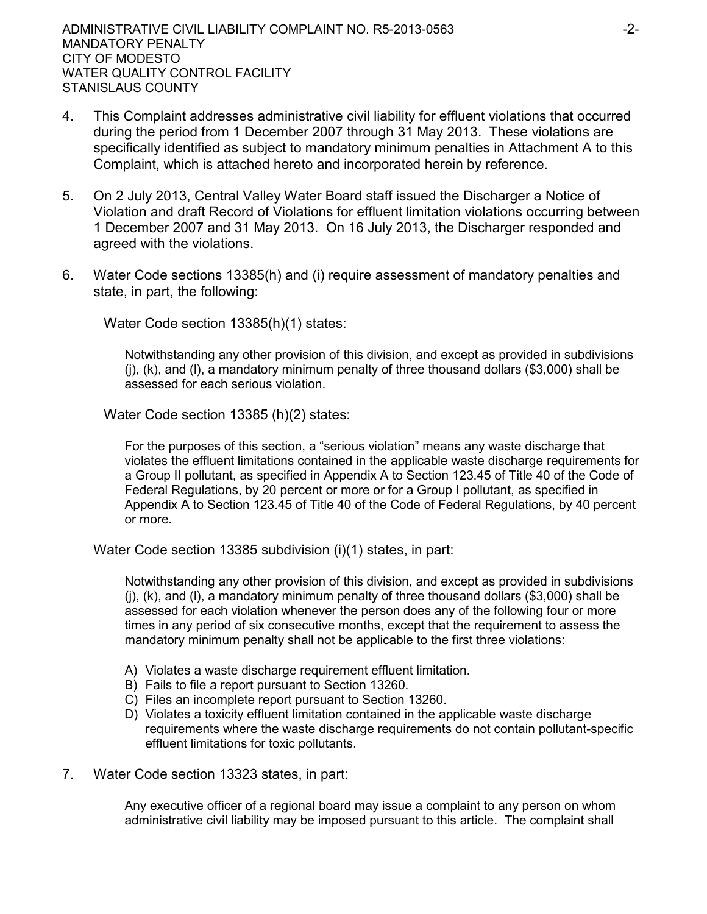- 4. This Complaint addresses administrative civil liability for effluent violations that occurred during the period from 1 December 2007 through 31 May 2013. These violations are specifically identified as subject to mandatory minimum penalties in Attachment A to this Complaint, which is attached hereto and incorporated herein by reference.
- 5. On 2 July 2013, Central Valley Water Board staff issued the Discharger a Notice of Violation and draft Record of Violations for effluent limitation violations occurring between 1 December 2007 and 31 May 2013. On 16 July 2013, the Discharger responded and agreed with the violations.
- 6. Water Code sections 13385(h) and (i) require assessment of mandatory penalties and state, in part, the following:

Water Code section 13385(h)(1) states:

Notwithstanding any other provision of this division, and except as provided in subdivisions (j), (k), and (l), a mandatory minimum penalty of three thousand dollars (\$3,000) shall be assessed for each serious violation.

Water Code section 13385 (h)(2) states:

For the purposes of this section, a "serious violation" means any waste discharge that violates the effluent limitations contained in the applicable waste discharge requirements for a Group II pollutant, as specified in Appendix A to Section 123.45 of Title 40 of the Code of Federal Regulations, by 20 percent or more or for a Group I pollutant, as specified in Appendix A to Section 123.45 of Title 40 of the Code of Federal Regulations, by 40 percent or more.

Water Code section 13385 subdivision (i)(1) states, in part:

Notwithstanding any other provision of this division, and except as provided in subdivisions  $(i)$ ,  $(k)$ , and  $(l)$ , a mandatory minimum penalty of three thousand dollars (\$3,000) shall be assessed for each violation whenever the person does any of the following four or more times in any period of six consecutive months, except that the requirement to assess the mandatory minimum penalty shall not be applicable to the first three violations:

- A) Violates a waste discharge requirement effluent limitation.
- B) Fails to file a report pursuant to Section 13260.
- C) Files an incomplete report pursuant to Section 13260.
- D) Violates a toxicity effluent limitation contained in the applicable waste discharge requirements where the waste discharge requirements do not contain pollutant-specific effluent limitations for toxic pollutants.
- 7. Water Code section 13323 states, in part:

Any executive officer of a regional board may issue a complaint to any person on whom administrative civil liability may be imposed pursuant to this article. The complaint shall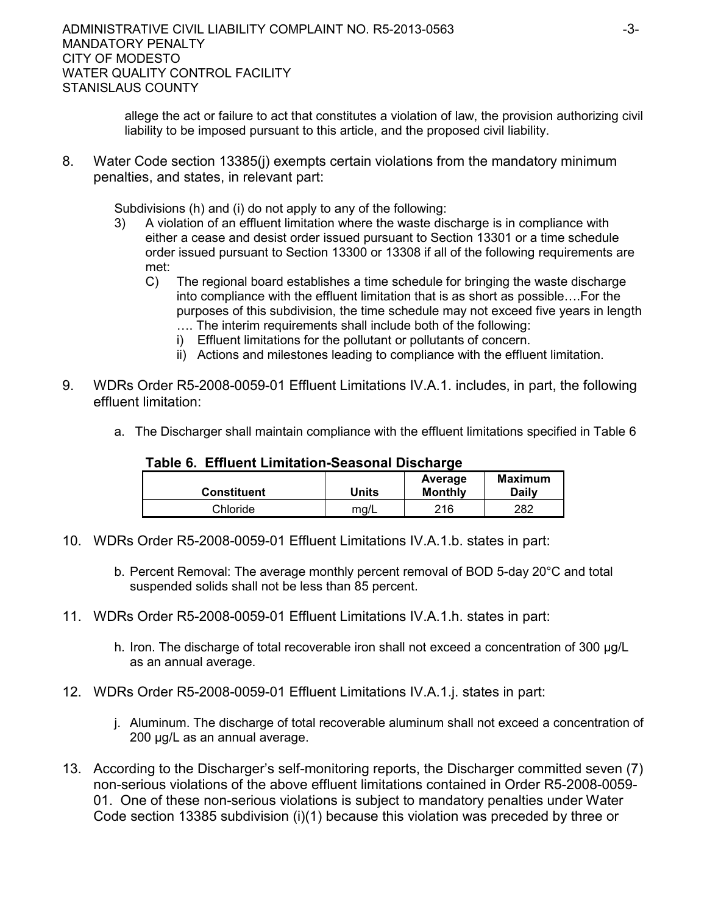allege the act or failure to act that constitutes a violation of law, the provision authorizing civil liability to be imposed pursuant to this article, and the proposed civil liability.

8. Water Code section 13385(j) exempts certain violations from the mandatory minimum penalties, and states, in relevant part:

Subdivisions (h) and (i) do not apply to any of the following:

- 3) A violation of an effluent limitation where the waste discharge is in compliance with either a cease and desist order issued pursuant to Section 13301 or a time schedule order issued pursuant to Section 13300 or 13308 if all of the following requirements are met:
	- C) The regional board establishes a time schedule for bringing the waste discharge into compliance with the effluent limitation that is as short as possible….For the purposes of this subdivision, the time schedule may not exceed five years in length …. The interim requirements shall include both of the following:
		- i) Effluent limitations for the pollutant or pollutants of concern.
		- ii) Actions and milestones leading to compliance with the effluent limitation.
- 9. WDRs Order R5-2008-0059-01 Effluent Limitations IV.A.1. includes, in part, the following effluent limitation:
	- a. The Discharger shall maintain compliance with the effluent limitations specified in Table 6

| <b>Constituent</b> | Units | Average<br><b>Monthly</b> | Maximum<br>Dailv |
|--------------------|-------|---------------------------|------------------|
| Chloride           | mg/L  | 216                       | 282              |

## **Table 6. Effluent Limitation-Seasonal Discharge**

- 10. WDRs Order R5-2008-0059-01 Effluent Limitations IV.A.1.b. states in part:
	- b. Percent Removal: The average monthly percent removal of BOD 5-day 20°C and total suspended solids shall not be less than 85 percent.
- 11. WDRs Order R5-2008-0059-01 Effluent Limitations IV.A.1.h. states in part:
	- h. Iron. The discharge of total recoverable iron shall not exceed a concentration of 300 μg/L as an annual average.
- 12. WDRs Order R5-2008-0059-01 Effluent Limitations IV.A.1.j. states in part:
	- j. Aluminum. The discharge of total recoverable aluminum shall not exceed a concentration of 200 μg/L as an annual average.
- 13. According to the Discharger's self-monitoring reports, the Discharger committed seven (7) non-serious violations of the above effluent limitations contained in Order R5-2008-0059- 01. One of these non-serious violations is subject to mandatory penalties under Water Code section 13385 subdivision (i)(1) because this violation was preceded by three or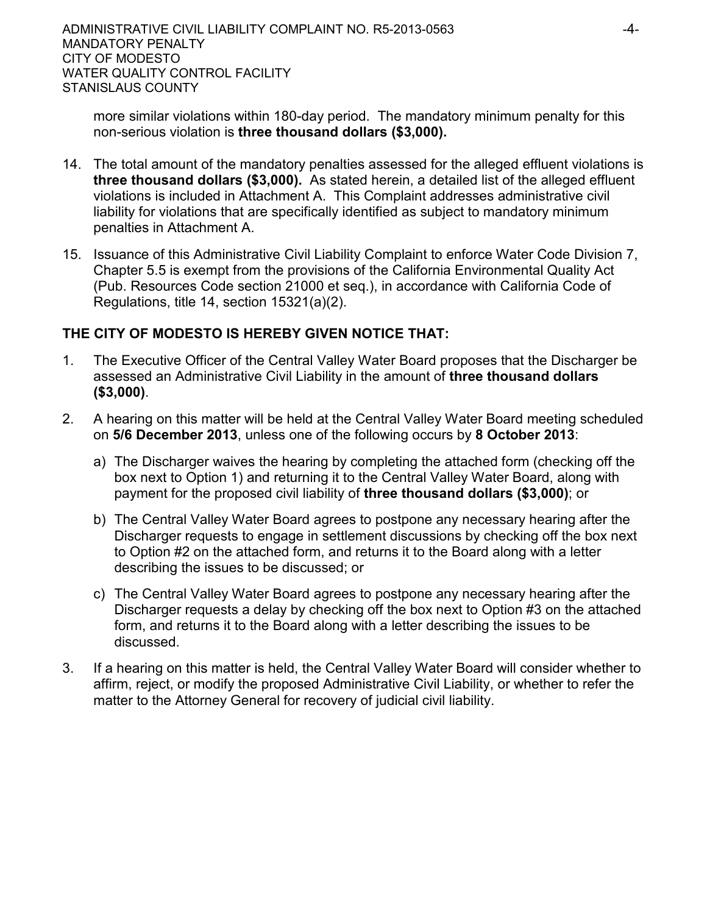more similar violations within 180-day period. The mandatory minimum penalty for this non-serious violation is **three thousand dollars (\$3,000).**

- 14. The total amount of the mandatory penalties assessed for the alleged effluent violations is **three thousand dollars (\$3,000).** As stated herein, a detailed list of the alleged effluent violations is included in Attachment A. This Complaint addresses administrative civil liability for violations that are specifically identified as subject to mandatory minimum penalties in Attachment A.
- 15. Issuance of this Administrative Civil Liability Complaint to enforce Water Code Division 7, Chapter 5.5 is exempt from the provisions of the California Environmental Quality Act (Pub. Resources Code section 21000 et seq.), in accordance with California Code of Regulations, title 14, section 15321(a)(2).

# **THE CITY OF MODESTO IS HEREBY GIVEN NOTICE THAT:**

- 1. The Executive Officer of the Central Valley Water Board proposes that the Discharger be assessed an Administrative Civil Liability in the amount of **three thousand dollars (\$3,000)**.
- 2. A hearing on this matter will be held at the Central Valley Water Board meeting scheduled on **5/6 December 2013**, unless one of the following occurs by **8 October 2013**:
	- a) The Discharger waives the hearing by completing the attached form (checking off the box next to Option 1) and returning it to the Central Valley Water Board, along with payment for the proposed civil liability of **three thousand dollars (\$3,000)**; or
	- b) The Central Valley Water Board agrees to postpone any necessary hearing after the Discharger requests to engage in settlement discussions by checking off the box next to Option #2 on the attached form, and returns it to the Board along with a letter describing the issues to be discussed; or
	- c) The Central Valley Water Board agrees to postpone any necessary hearing after the Discharger requests a delay by checking off the box next to Option #3 on the attached form, and returns it to the Board along with a letter describing the issues to be discussed.
- 3. If a hearing on this matter is held, the Central Valley Water Board will consider whether to affirm, reject, or modify the proposed Administrative Civil Liability, or whether to refer the matter to the Attorney General for recovery of judicial civil liability.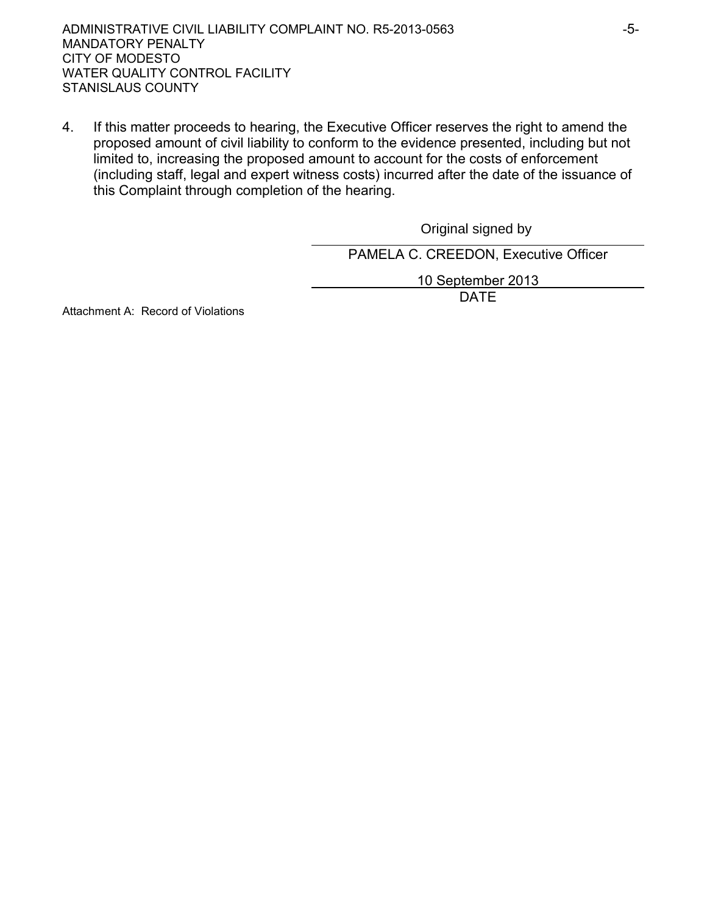ADMINISTRATIVE CIVIL LIABILITY COMPLAINT NO. R5-2013-0563 MANDATORY PENALTY CITY OF MODESTO WATER QUALITY CONTROL FACILITY STANISLAUS COUNTY

4. If this matter proceeds to hearing, the Executive Officer reserves the right to amend the proposed amount of civil liability to conform to the evidence presented, including but not limited to, increasing the proposed amount to account for the costs of enforcement (including staff, legal and expert witness costs) incurred after the date of the issuance of this Complaint through completion of the hearing.

> PAMELA C. CREEDON, Executive Officer 10 September 2013 DATE Original signed by

Attachment A: Record of Violations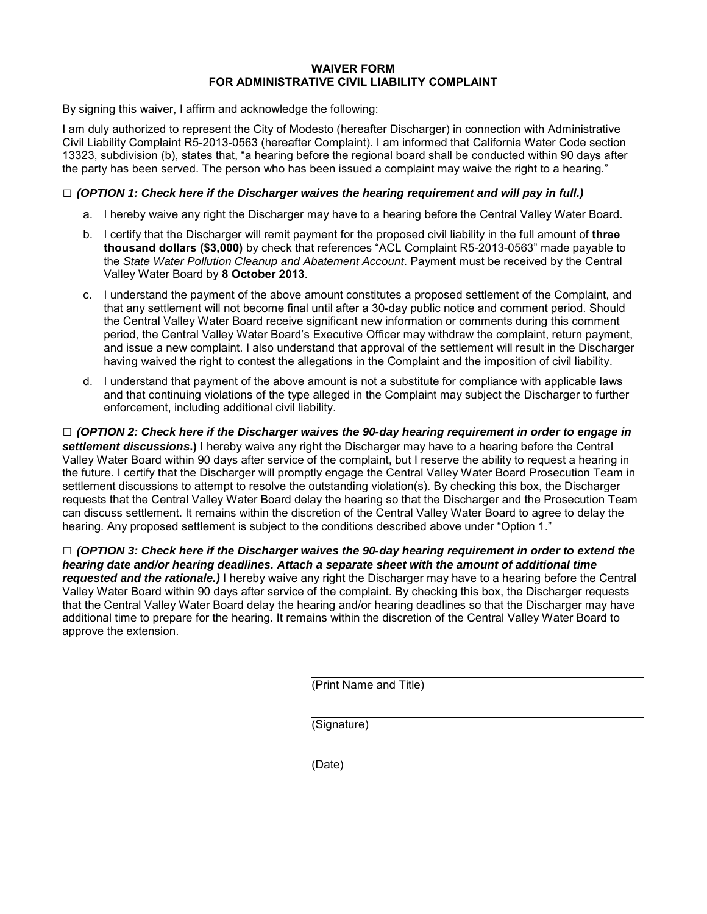#### **WAIVER FORM FOR ADMINISTRATIVE CIVIL LIABILITY COMPLAINT**

By signing this waiver, I affirm and acknowledge the following:

I am duly authorized to represent the City of Modesto (hereafter Discharger) in connection with Administrative Civil Liability Complaint R5-2013-0563 (hereafter Complaint). I am informed that California Water Code section 13323, subdivision (b), states that, "a hearing before the regional board shall be conducted within 90 days after the party has been served. The person who has been issued a complaint may waive the right to a hearing."

#### **□** *(OPTION 1: Check here if the Discharger waives the hearing requirement and will pay in full.)*

- a. I hereby waive any right the Discharger may have to a hearing before the Central Valley Water Board.
- b. I certify that the Discharger will remit payment for the proposed civil liability in the full amount of **three thousand dollars (\$3,000)** by check that references "ACL Complaint R5-2013-0563" made payable to the *State Water Pollution Cleanup and Abatement Account*. Payment must be received by the Central Valley Water Board by **8 October 2013**.
- c. I understand the payment of the above amount constitutes a proposed settlement of the Complaint, and that any settlement will not become final until after a 30-day public notice and comment period. Should the Central Valley Water Board receive significant new information or comments during this comment period, the Central Valley Water Board's Executive Officer may withdraw the complaint, return payment, and issue a new complaint. I also understand that approval of the settlement will result in the Discharger having waived the right to contest the allegations in the Complaint and the imposition of civil liability.
- d. I understand that payment of the above amount is not a substitute for compliance with applicable laws and that continuing violations of the type alleged in the Complaint may subject the Discharger to further enforcement, including additional civil liability.

**□** *(OPTION 2: Check here if the Discharger waives the 90-day hearing requirement in order to engage in settlement discussions***.)** I hereby waive any right the Discharger may have to a hearing before the Central Valley Water Board within 90 days after service of the complaint, but I reserve the ability to request a hearing in the future. I certify that the Discharger will promptly engage the Central Valley Water Board Prosecution Team in settlement discussions to attempt to resolve the outstanding violation(s). By checking this box, the Discharger requests that the Central Valley Water Board delay the hearing so that the Discharger and the Prosecution Team can discuss settlement. It remains within the discretion of the Central Valley Water Board to agree to delay the hearing. Any proposed settlement is subject to the conditions described above under "Option 1."

**□** *(OPTION 3: Check here if the Discharger waives the 90-day hearing requirement in order to extend the hearing date and/or hearing deadlines. Attach a separate sheet with the amount of additional time requested and the rationale.)* I hereby waive any right the Discharger may have to a hearing before the Central Valley Water Board within 90 days after service of the complaint. By checking this box, the Discharger requests that the Central Valley Water Board delay the hearing and/or hearing deadlines so that the Discharger may have additional time to prepare for the hearing. It remains within the discretion of the Central Valley Water Board to approve the extension.

(Print Name and Title)

(Signature)

(Date)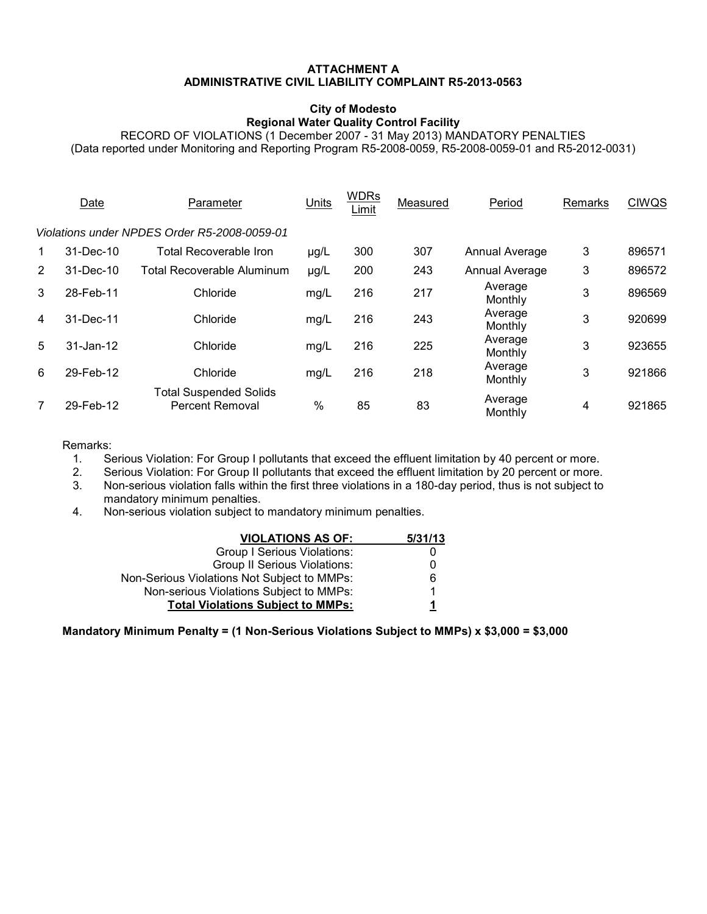#### **ATTACHMENT A ADMINISTRATIVE CIVIL LIABILITY COMPLAINT R5-2013-0563**

#### **City of Modesto Regional Water Quality Control Facility**

RECORD OF VIOLATIONS (1 December 2007 - 31 May 2013) MANDATORY PENALTIES (Data reported under Monitoring and Reporting Program R5-2008-0059, R5-2008-0059-01 and R5-2012-0031)

|                                              | Date          | Parameter                                               | Units         | <b>WDRs</b><br>Limit | Measured | Period             | Remarks | <b>CIWQS</b> |
|----------------------------------------------|---------------|---------------------------------------------------------|---------------|----------------------|----------|--------------------|---------|--------------|
| Violations under NPDES Order R5-2008-0059-01 |               |                                                         |               |                      |          |                    |         |              |
| $\mathbf 1$                                  | 31-Dec-10     | <b>Total Recoverable Iron</b>                           | $\mu$ g/L     | 300                  | 307      | Annual Average     | 3       | 896571       |
| 2                                            | 31-Dec-10     | Total Recoverable Aluminum                              | µg/L          | 200                  | 243      | Annual Average     | 3       | 896572       |
| 3                                            | 28-Feb-11     | Chloride                                                | mg/L          | 216                  | 217      | Average<br>Monthly | 3       | 896569       |
| 4                                            | 31-Dec-11     | Chloride                                                | mg/L          | 216                  | 243      | Average<br>Monthly | 3       | 920699       |
| 5                                            | $31 - Jan-12$ | Chloride                                                | mg/L          | 216                  | 225      | Average<br>Monthly | 3       | 923655       |
| 6                                            | 29-Feb-12     | Chloride                                                | mg/L          | 216                  | 218      | Average<br>Monthly | 3       | 921866       |
| 7                                            | 29-Feb-12     | <b>Total Suspended Solids</b><br><b>Percent Removal</b> | $\frac{0}{0}$ | 85                   | 83       | Average<br>Monthly | 4       | 921865       |

# Remarks:<br>1. Se

1. Serious Violation: For Group I pollutants that exceed the effluent limitation by 40 percent or more.<br>2. Serious Violation: For Group II pollutants that exceed the effluent limitation by 20 percent or more.

2. Serious Violation: For Group II pollutants that exceed the effluent limitation by 20 percent or more.<br>3. Non-serious violation falls within the first three violations in a 180-day period, thus is not subject to

3. Non-serious violation falls within the first three violations in a 180-day period, thus is not subject to mandatory minimum penalties.

4. Non-serious violation subject to mandatory minimum penalties.

| <b>VIOLATIONS AS OF:</b>                    | 5/31/13 |
|---------------------------------------------|---------|
| <b>Group I Serious Violations:</b>          |         |
| <b>Group II Serious Violations:</b>         |         |
| Non-Serious Violations Not Subject to MMPs: | 6       |
| Non-serious Violations Subject to MMPs:     |         |
| <b>Total Violations Subject to MMPs:</b>    | 1       |

**Mandatory Minimum Penalty = (1 Non-Serious Violations Subject to MMPs) x \$3,000 = \$3,000**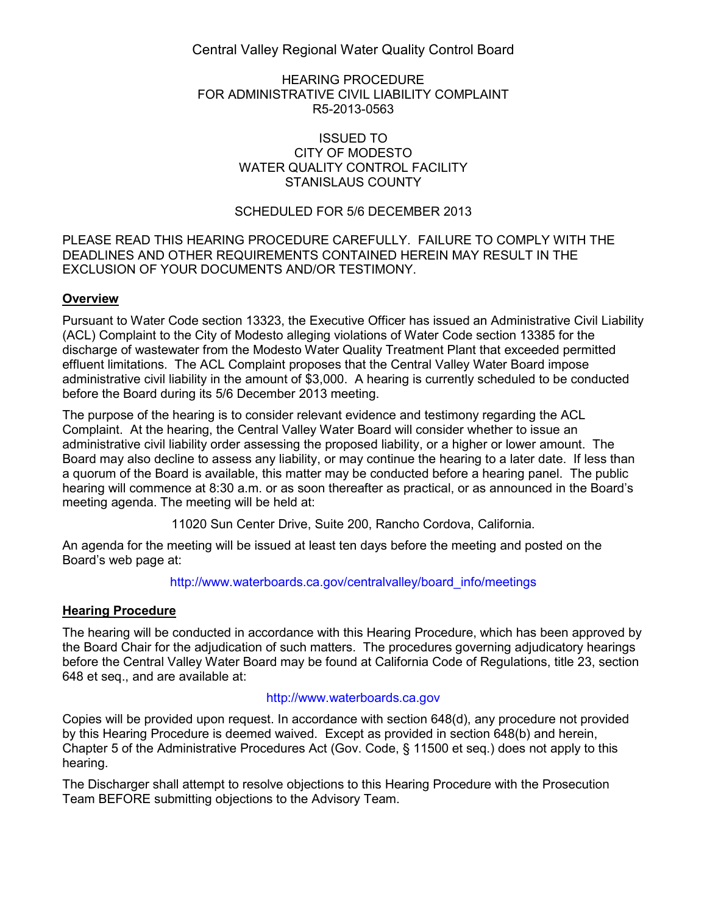Central Valley Regional Water Quality Control Board

#### HEARING PROCEDURE FOR ADMINISTRATIVE CIVIL LIABILITY COMPLAINT R5-2013-0563

#### ISSUED TO CITY OF MODESTO WATER QUALITY CONTROL FACILITY STANISLAUS COUNTY

## SCHEDULED FOR 5/6 DECEMBER 2013

#### PLEASE READ THIS HEARING PROCEDURE CAREFULLY. FAILURE TO COMPLY WITH THE DEADLINES AND OTHER REQUIREMENTS CONTAINED HEREIN MAY RESULT IN THE EXCLUSION OF YOUR DOCUMENTS AND/OR TESTIMONY.

## **Overview**

Pursuant to Water Code section 13323, the Executive Officer has issued an Administrative Civil Liability (ACL) Complaint to the City of Modesto alleging violations of Water Code section 13385 for the discharge of wastewater from the Modesto Water Quality Treatment Plant that exceeded permitted effluent limitations. The ACL Complaint proposes that the Central Valley Water Board impose administrative civil liability in the amount of \$3,000. A hearing is currently scheduled to be conducted before the Board during its 5/6 December 2013 meeting.

The purpose of the hearing is to consider relevant evidence and testimony regarding the ACL Complaint. At the hearing, the Central Valley Water Board will consider whether to issue an administrative civil liability order assessing the proposed liability, or a higher or lower amount. The Board may also decline to assess any liability, or may continue the hearing to a later date. If less than a quorum of the Board is available, this matter may be conducted before a hearing panel. The public hearing will commence at 8:30 a.m. or as soon thereafter as practical, or as announced in the Board's meeting agenda. The meeting will be held at:

11020 Sun Center Drive, Suite 200, Rancho Cordova, California.

An agenda for the meeting will be issued at least ten days before the meeting and posted on the Board's web page at:

[http://www.waterboards.ca.gov/centralvalley/board\\_info/meetings](http://www.waterboards.ca.gov/centralvalley/board_info/meetings)

## **Hearing Procedure**

The hearing will be conducted in accordance with this Hearing Procedure, which has been approved by the Board Chair for the adjudication of such matters. The procedures governing adjudicatory hearings before the Central Valley Water Board may be found at California Code of Regulations, title 23, section 648 et seq., and are available at:

## [http://www.waterboards.ca.gov](http://www.waterboards.ca.gov/)

Copies will be provided upon request. In accordance with section 648(d), any procedure not provided by this Hearing Procedure is deemed waived. Except as provided in section 648(b) and herein, Chapter 5 of the Administrative Procedures Act (Gov. Code, § 11500 et seq.) does not apply to this hearing.

The Discharger shall attempt to resolve objections to this Hearing Procedure with the Prosecution Team BEFORE submitting objections to the Advisory Team.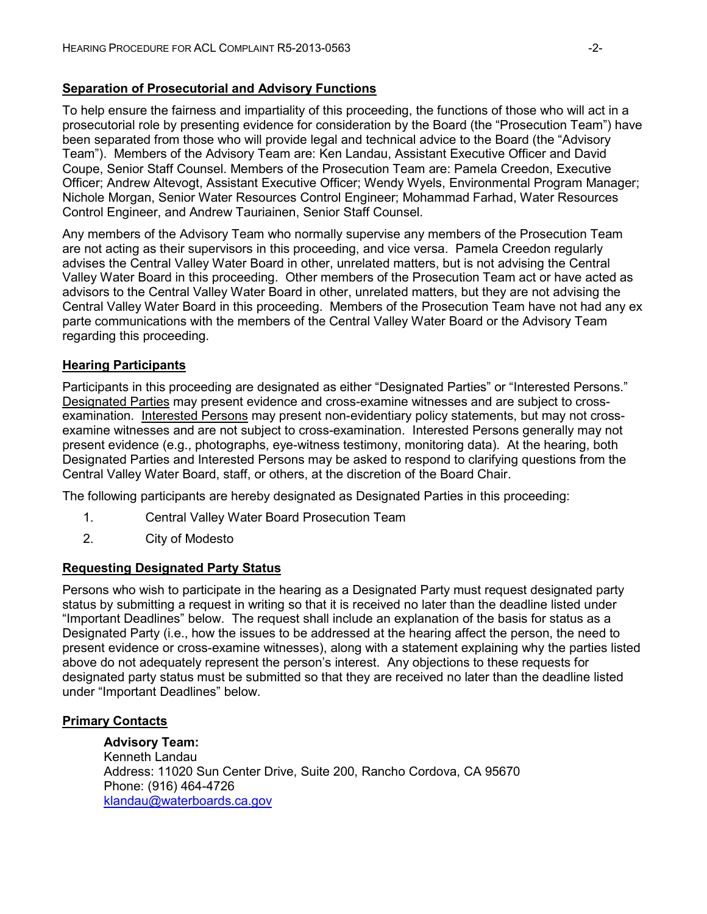#### **Separation of Prosecutorial and Advisory Functions**

To help ensure the fairness and impartiality of this proceeding, the functions of those who will act in a prosecutorial role by presenting evidence for consideration by the Board (the "Prosecution Team") have been separated from those who will provide legal and technical advice to the Board (the "Advisory Team"). Members of the Advisory Team are: Ken Landau, Assistant Executive Officer and David Coupe, Senior Staff Counsel. Members of the Prosecution Team are: Pamela Creedon, Executive Officer; Andrew Altevogt, Assistant Executive Officer; Wendy Wyels, Environmental Program Manager; Nichole Morgan, Senior Water Resources Control Engineer; Mohammad Farhad, Water Resources Control Engineer, and Andrew Tauriainen, Senior Staff Counsel.

Any members of the Advisory Team who normally supervise any members of the Prosecution Team are not acting as their supervisors in this proceeding, and vice versa. Pamela Creedon regularly advises the Central Valley Water Board in other, unrelated matters, but is not advising the Central Valley Water Board in this proceeding. Other members of the Prosecution Team act or have acted as advisors to the Central Valley Water Board in other, unrelated matters, but they are not advising the Central Valley Water Board in this proceeding. Members of the Prosecution Team have not had any ex parte communications with the members of the Central Valley Water Board or the Advisory Team regarding this proceeding.

## **Hearing Participants**

Participants in this proceeding are designated as either "Designated Parties" or "Interested Persons." Designated Parties may present evidence and cross-examine witnesses and are subject to crossexamination. Interested Persons may present non-evidentiary policy statements, but may not crossexamine witnesses and are not subject to cross-examination. Interested Persons generally may not present evidence (e.g., photographs, eye-witness testimony, monitoring data). At the hearing, both Designated Parties and Interested Persons may be asked to respond to clarifying questions from the Central Valley Water Board, staff, or others, at the discretion of the Board Chair.

The following participants are hereby designated as Designated Parties in this proceeding:

- 1. Central Valley Water Board Prosecution Team
- 2. City of Modesto

## **Requesting Designated Party Status**

Persons who wish to participate in the hearing as a Designated Party must request designated party status by submitting a request in writing so that it is received no later than the deadline listed under "Important Deadlines" below. The request shall include an explanation of the basis for status as a Designated Party (i.e., how the issues to be addressed at the hearing affect the person, the need to present evidence or cross-examine witnesses), along with a statement explaining why the parties listed above do not adequately represent the person's interest. Any objections to these requests for designated party status must be submitted so that they are received no later than the deadline listed under "Important Deadlines" below.

## **Primary Contacts**

**Advisory Team:** Kenneth Landau Address: 11020 Sun Center Drive, Suite 200, Rancho Cordova, CA 95670 Phone: (916) 464-4726 [klandau@waterboards.ca.gov](mailto:klandau@waterboards.ca.gov)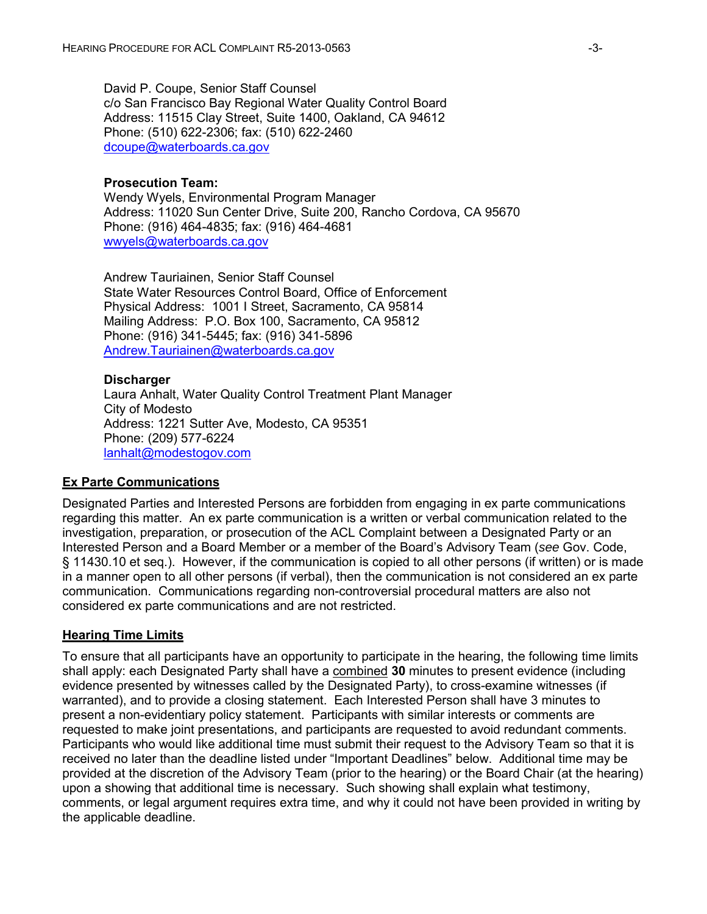David P. Coupe, Senior Staff Counsel c/o San Francisco Bay Regional Water Quality Control Board Address: 11515 Clay Street, Suite 1400, Oakland, CA 94612 Phone: (510) 622-2306; fax: (510) 622-2460 [dcoupe@waterboards.ca.gov](mailto:dcoupe@waterboards.ca.gov)

#### **Prosecution Team:**

Wendy Wyels, Environmental Program Manager Address: 11020 Sun Center Drive, Suite 200, Rancho Cordova, CA 95670 Phone: (916) 464-4835; fax: (916) 464-4681 [wwyels@waterboards.ca.gov](mailto:wwyels@waterboards.ca.gov)

Andrew Tauriainen, Senior Staff Counsel State Water Resources Control Board, Office of Enforcement Physical Address: 1001 I Street, Sacramento, CA 95814 Mailing Address: P.O. Box 100, Sacramento, CA 95812 Phone: (916) 341-5445; fax: (916) 341-5896 [Andrew.Tauriainen@waterboards.ca.gov](mailto:Andrew.Tauriainen@waterboards.ca.gov)

#### **Discharger**

Laura Anhalt, Water Quality Control Treatment Plant Manager City of Modesto Address: 1221 Sutter Ave, Modesto, CA 95351 Phone: (209) 577-6224 [lanhalt@modestogov.com](mailto:lanhalt@modestogov.com)

#### **Ex Parte Communications**

Designated Parties and Interested Persons are forbidden from engaging in ex parte communications regarding this matter. An ex parte communication is a written or verbal communication related to the investigation, preparation, or prosecution of the ACL Complaint between a Designated Party or an Interested Person and a Board Member or a member of the Board's Advisory Team (*see* Gov. Code, § 11430.10 et seq.). However, if the communication is copied to all other persons (if written) or is made in a manner open to all other persons (if verbal), then the communication is not considered an ex parte communication. Communications regarding non-controversial procedural matters are also not considered ex parte communications and are not restricted.

#### **Hearing Time Limits**

To ensure that all participants have an opportunity to participate in the hearing, the following time limits shall apply: each Designated Party shall have a combined **30** minutes to present evidence (including evidence presented by witnesses called by the Designated Party), to cross-examine witnesses (if warranted), and to provide a closing statement. Each Interested Person shall have 3 minutes to present a non-evidentiary policy statement. Participants with similar interests or comments are requested to make joint presentations, and participants are requested to avoid redundant comments. Participants who would like additional time must submit their request to the Advisory Team so that it is received no later than the deadline listed under "Important Deadlines" below. Additional time may be provided at the discretion of the Advisory Team (prior to the hearing) or the Board Chair (at the hearing) upon a showing that additional time is necessary. Such showing shall explain what testimony, comments, or legal argument requires extra time, and why it could not have been provided in writing by the applicable deadline.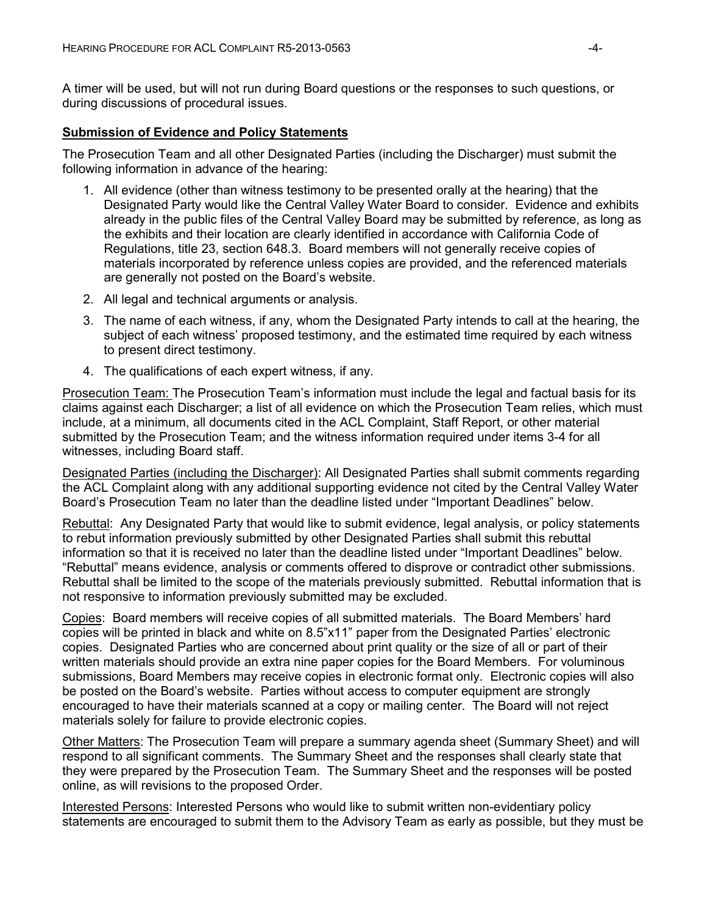A timer will be used, but will not run during Board questions or the responses to such questions, or during discussions of procedural issues.

#### **Submission of Evidence and Policy Statements**

The Prosecution Team and all other Designated Parties (including the Discharger) must submit the following information in advance of the hearing:

- 1. All evidence (other than witness testimony to be presented orally at the hearing) that the Designated Party would like the Central Valley Water Board to consider. Evidence and exhibits already in the public files of the Central Valley Board may be submitted by reference, as long as the exhibits and their location are clearly identified in accordance with California Code of Regulations, title 23, section 648.3. Board members will not generally receive copies of materials incorporated by reference unless copies are provided, and the referenced materials are generally not posted on the Board's website.
- 2. All legal and technical arguments or analysis.
- 3. The name of each witness, if any, whom the Designated Party intends to call at the hearing, the subject of each witness' proposed testimony, and the estimated time required by each witness to present direct testimony.
- 4. The qualifications of each expert witness, if any.

Prosecution Team: The Prosecution Team's information must include the legal and factual basis for its claims against each Discharger; a list of all evidence on which the Prosecution Team relies, which must include, at a minimum, all documents cited in the ACL Complaint, Staff Report, or other material submitted by the Prosecution Team; and the witness information required under items 3-4 for all witnesses, including Board staff.

Designated Parties (including the Discharger): All Designated Parties shall submit comments regarding the ACL Complaint along with any additional supporting evidence not cited by the Central Valley Water Board's Prosecution Team no later than the deadline listed under "Important Deadlines" below.

Rebuttal: Any Designated Party that would like to submit evidence, legal analysis, or policy statements to rebut information previously submitted by other Designated Parties shall submit this rebuttal information so that it is received no later than the deadline listed under "Important Deadlines" below. "Rebuttal" means evidence, analysis or comments offered to disprove or contradict other submissions. Rebuttal shall be limited to the scope of the materials previously submitted. Rebuttal information that is not responsive to information previously submitted may be excluded.

Copies: Board members will receive copies of all submitted materials. The Board Members' hard copies will be printed in black and white on 8.5"x11" paper from the Designated Parties' electronic copies. Designated Parties who are concerned about print quality or the size of all or part of their written materials should provide an extra nine paper copies for the Board Members. For voluminous submissions, Board Members may receive copies in electronic format only. Electronic copies will also be posted on the Board's website. Parties without access to computer equipment are strongly encouraged to have their materials scanned at a copy or mailing center. The Board will not reject materials solely for failure to provide electronic copies.

Other Matters: The Prosecution Team will prepare a summary agenda sheet (Summary Sheet) and will respond to all significant comments. The Summary Sheet and the responses shall clearly state that they were prepared by the Prosecution Team. The Summary Sheet and the responses will be posted online, as will revisions to the proposed Order.

Interested Persons: Interested Persons who would like to submit written non-evidentiary policy statements are encouraged to submit them to the Advisory Team as early as possible, but they must be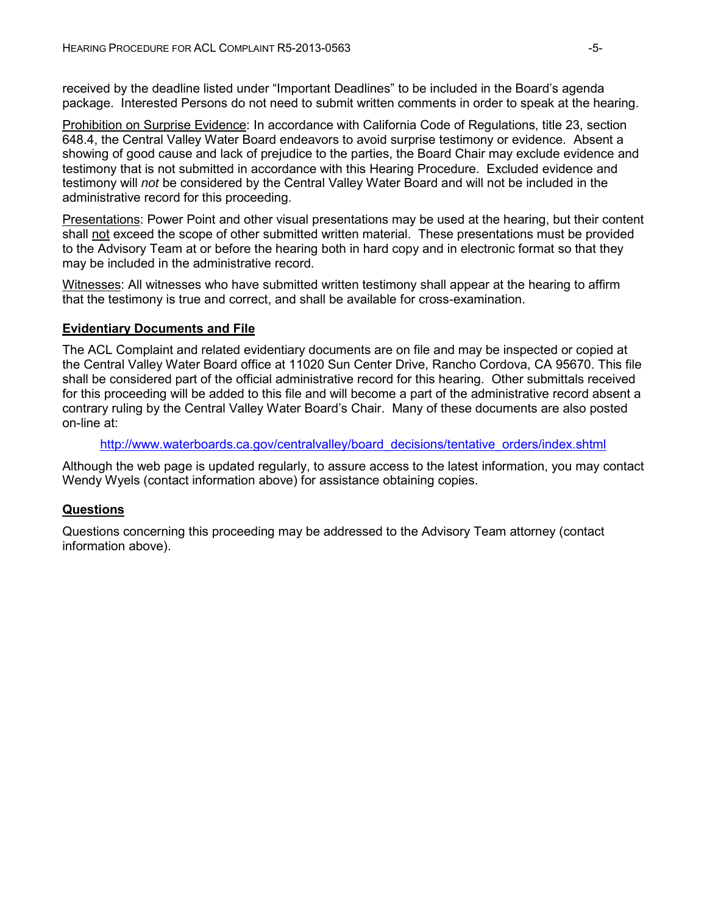received by the deadline listed under "Important Deadlines" to be included in the Board's agenda package. Interested Persons do not need to submit written comments in order to speak at the hearing.

Prohibition on Surprise Evidence: In accordance with California Code of Regulations, title 23, section 648.4, the Central Valley Water Board endeavors to avoid surprise testimony or evidence. Absent a showing of good cause and lack of prejudice to the parties, the Board Chair may exclude evidence and testimony that is not submitted in accordance with this Hearing Procedure. Excluded evidence and testimony will *not* be considered by the Central Valley Water Board and will not be included in the administrative record for this proceeding.

Presentations: Power Point and other visual presentations may be used at the hearing, but their content shall not exceed the scope of other submitted written material. These presentations must be provided to the Advisory Team at or before the hearing both in hard copy and in electronic format so that they may be included in the administrative record.

Witnesses: All witnesses who have submitted written testimony shall appear at the hearing to affirm that the testimony is true and correct, and shall be available for cross-examination.

## **Evidentiary Documents and File**

The ACL Complaint and related evidentiary documents are on file and may be inspected or copied at the Central Valley Water Board office at 11020 Sun Center Drive, Rancho Cordova, CA 95670. This file shall be considered part of the official administrative record for this hearing. Other submittals received for this proceeding will be added to this file and will become a part of the administrative record absent a contrary ruling by the Central Valley Water Board's Chair. Many of these documents are also posted on-line at:

[http://www.waterboards.ca.gov/centralvalley/board\\_decisions/tentative\\_orders/index.shtml](http://www.waterboards.ca.gov/centralvalley/board_decisions/tentative_orders/index.shtml)

Although the web page is updated regularly, to assure access to the latest information, you may contact Wendy Wyels (contact information above) for assistance obtaining copies.

## **Questions**

Questions concerning this proceeding may be addressed to the Advisory Team attorney (contact information above).